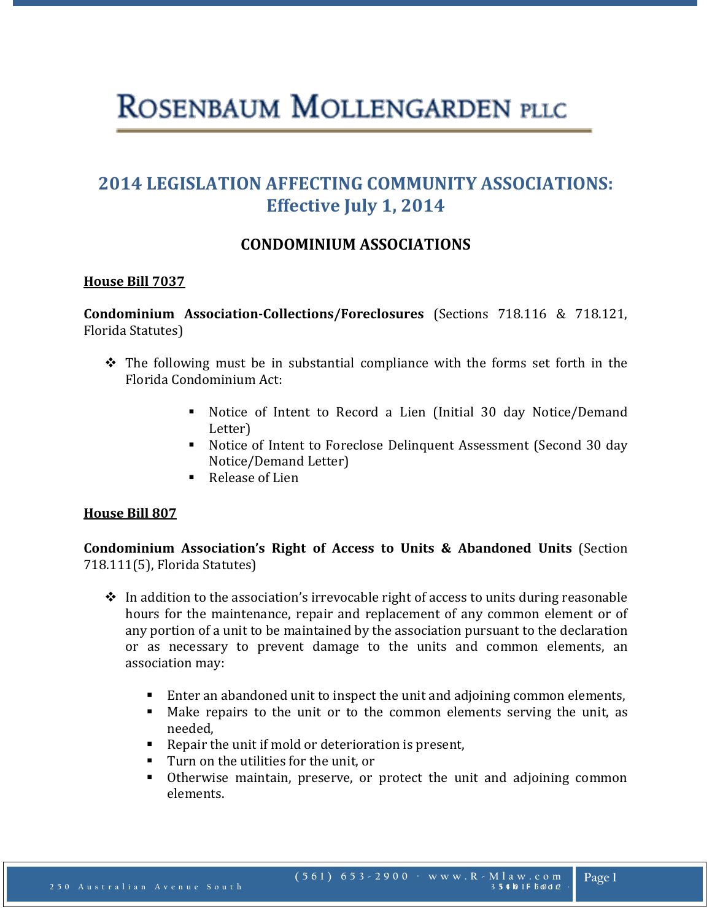# ROSENBAUM MOLLENGARDEN PLLC

# **2014 LEGISLATION AFFECTING COMMUNITY ASSOCIATIONS: Effective July 1, 2014**

# **CONDOMINIUM ASSOCIATIONS**

## **House Bill 7037**

**Condominium Association-Collections/Foreclosures** (Sections 718.116 & 718.121, Florida Statutes)

- $\hat{\mathbf{v}}$  The following must be in substantial compliance with the forms set forth in the Florida Condominium Act:
	- Notice of Intent to Record a Lien (Initial 30 day Notice/Demand Letter)
	- Notice of Intent to Foreclose Delinquent Assessment (Second 30 day Notice/Demand Letter)
	- Release of Lien

#### **House Bill 807**

**Condominium Association's Right of Access to Units & Abandoned Units** (Section 718.111(5), Florida Statutes)

- $\cdot \cdot$  In addition to the association's irrevocable right of access to units during reasonable hours for the maintenance, repair and replacement of any common element or of any portion of a unit to be maintained by the association pursuant to the declaration or as necessary to prevent damage to the units and common elements, an association may:
	- Enter an abandoned unit to inspect the unit and adjoining common elements,
	- Make repairs to the unit or to the common elements serving the unit, as needed,
	- Repair the unit if mold or deterioration is present,
	- Turn on the utilities for the unit, or<br>■ Otherwise maintain, preserve, or
	- Otherwise maintain, preserve, or protect the unit and adjoining common elements.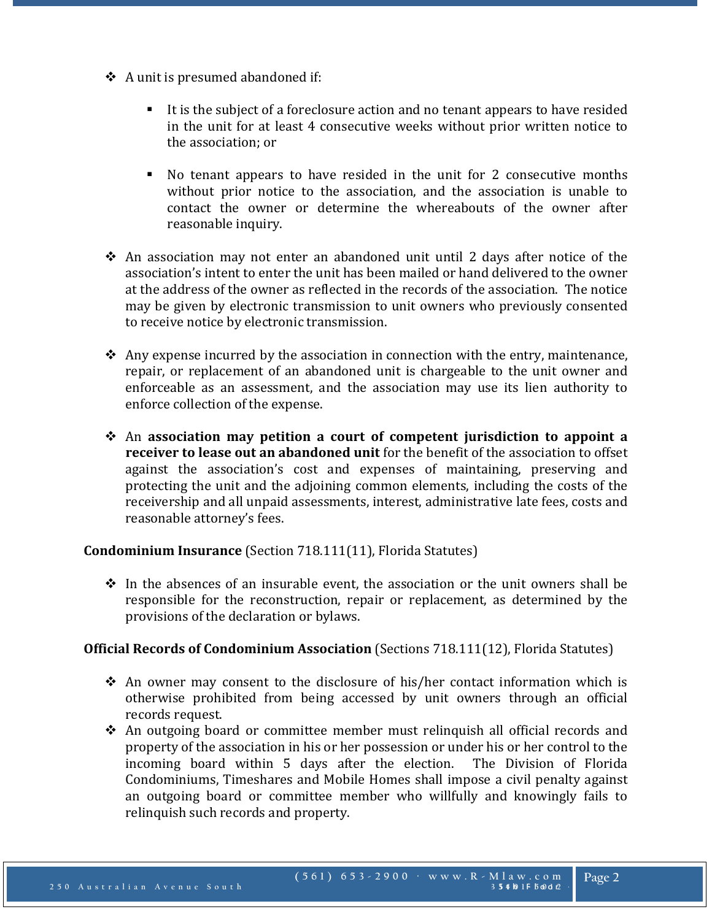- $\triangle$  A unit is presumed abandoned if:
	- It is the subject of a foreclosure action and no tenant appears to have resided in the unit for at least 4 consecutive weeks without prior written notice to the association; or
	- No tenant appears to have resided in the unit for 2 consecutive months without prior notice to the association, and the association is unable to contact the owner or determine the whereabouts of the owner after reasonable inquiry.
- An association may not enter an abandoned unit until 2 days after notice of the association's intent to enter the unit has been mailed or hand delivered to the owner at the address of the owner as reflected in the records of the association. The notice may be given by electronic transmission to unit owners who previously consented to receive notice by electronic transmission.
- Any expense incurred by the association in connection with the entry, maintenance, repair, or replacement of an abandoned unit is chargeable to the unit owner and enforceable as an assessment, and the association may use its lien authority to enforce collection of the expense.
- An **association may petition a court of competent jurisdiction to appoint a receiver to lease out an abandoned unit** for the benefit of the association to offset against the association's cost and expenses of maintaining, preserving and protecting the unit and the adjoining common elements, including the costs of the receivership and all unpaid assessments, interest, administrative late fees, costs and reasonable attorney's fees.

#### **Condominium Insurance** (Section 718.111(11), Florida Statutes)

 $\div$  In the absences of an insurable event, the association or the unit owners shall be responsible for the reconstruction, repair or replacement, as determined by the provisions of the declaration or bylaws.

#### **Official Records of Condominium Association** (Sections 718.111(12), Florida Statutes)

- An owner may consent to the disclosure of his/her contact information which is otherwise prohibited from being accessed by unit owners through an official records request.
- $\div$  An outgoing board or committee member must relinguish all official records and property of the association in his or her possession or under his or her control to the incoming board within 5 days after the election. The Division of Florida incoming board within 5 days after the election. Condominiums, Timeshares and Mobile Homes shall impose a civil penalty against an outgoing board or committee member who willfully and knowingly fails to relinquish such records and property.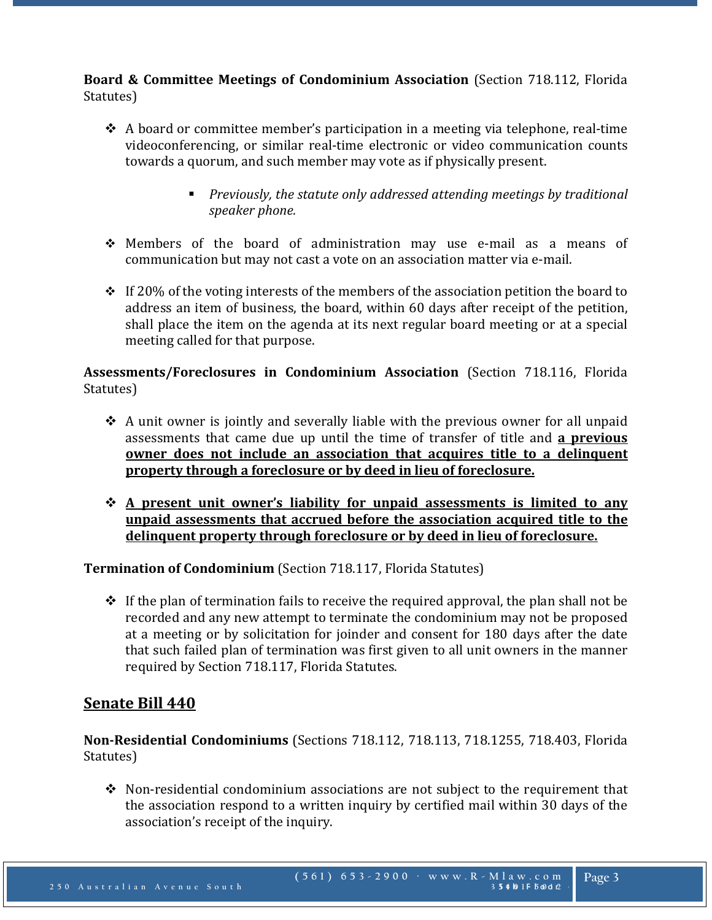**Board & Committee Meetings of Condominium Association** (Section 718.112, Florida Statutes)

- $\triangle$  A board or committee member's participation in a meeting via telephone, real-time videoconferencing, or similar real-time electronic or video communication counts towards a quorum, and such member may vote as if physically present.
	- *Previously, the statute only addressed attending meetings by traditional speaker phone.*
- Members of the board of administration may use e-mail as a means of communication but may not cast a vote on an association matter via e-mail.
- $\div$  If 20% of the voting interests of the members of the association petition the board to address an item of business, the board, within 60 days after receipt of the petition, shall place the item on the agenda at its next regular board meeting or at a special meeting called for that purpose.

**Assessments/Foreclosures in Condominium Association** (Section 718.116, Florida Statutes)

- $\triangle$  A unit owner is jointly and severally liable with the previous owner for all unpaid assessments that came due up until the time of transfer of title and **a previous owner does not include an association that acquires title to a delinquent property through a foreclosure or by deed in lieu of foreclosure.**
- **A present unit owner's liability for unpaid assessments is limited to any unpaid assessments that accrued before the association acquired title to the delinquent property through foreclosure or by deed in lieu of foreclosure.**

**Termination of Condominium** (Section 718.117, Florida Statutes)

 $\div$  If the plan of termination fails to receive the required approval, the plan shall not be recorded and any new attempt to terminate the condominium may not be proposed at a meeting or by solicitation for joinder and consent for 180 days after the date that such failed plan of termination was first given to all unit owners in the manner required by Section 718.117, Florida Statutes.

# **Senate Bill 440**

**Non-Residential Condominiums** (Sections 718.112, 718.113, 718.1255, 718.403, Florida Statutes)

 $\div$  Non-residential condominium associations are not subject to the requirement that the association respond to a written inquiry by certified mail within 30 days of the association's receipt of the inquiry.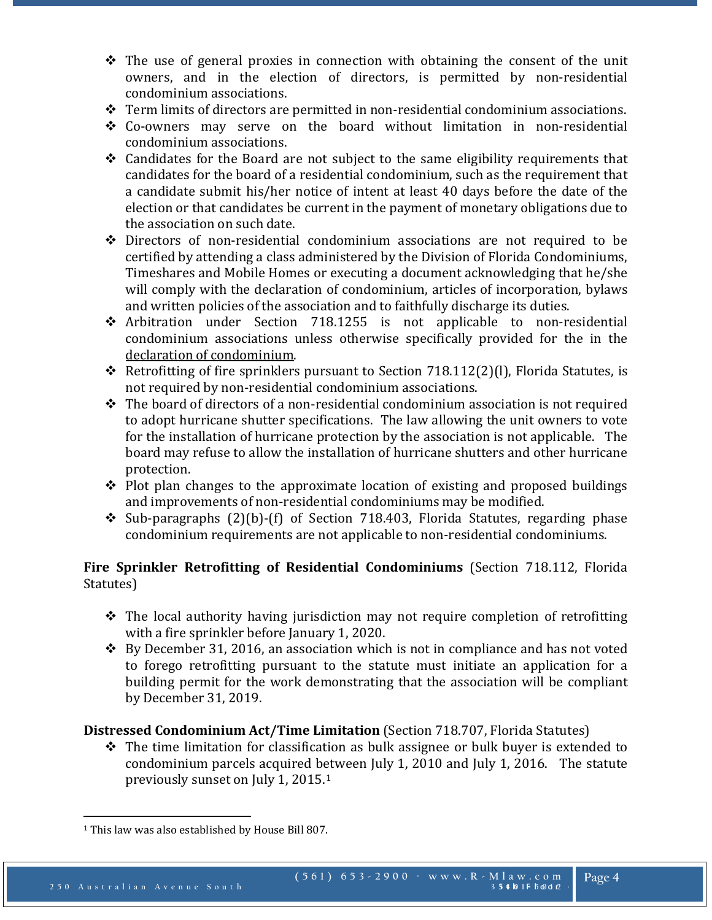- $\hat{\mathbf{v}}$  The use of general proxies in connection with obtaining the consent of the unit owners, and in the election of directors, is permitted by non-residential condominium associations.
- Term limits of directors are permitted in non-residential condominium associations.
- Co-owners may serve on the board without limitation in non-residential condominium associations.
- $\triangle$  Candidates for the Board are not subject to the same eligibility requirements that candidates for the board of a residential condominium, such as the requirement that a candidate submit his/her notice of intent at least 40 days before the date of the election or that candidates be current in the payment of monetary obligations due to the association on such date.
- Directors of non-residential condominium associations are not required to be certified by attending a class administered by the Division of Florida Condominiums, Timeshares and Mobile Homes or executing a document acknowledging that he/she will comply with the declaration of condominium, articles of incorporation, bylaws and written policies of the association and to faithfully discharge its duties.
- Arbitration under Section 718.1255 is not applicable to non-residential condominium associations unless otherwise specifically provided for the in the declaration of condominium.
- Retrofitting of fire sprinklers pursuant to Section 718.112(2)(I), Florida Statutes, is not required by non-residential condominium associations.
- $\cdot \cdot$  The board of directors of a non-residential condominium association is not required to adopt hurricane shutter specifications. The law allowing the unit owners to vote for the installation of hurricane protection by the association is not applicable. The board may refuse to allow the installation of hurricane shutters and other hurricane protection.
- $\triangle$  Plot plan changes to the approximate location of existing and proposed buildings and improvements of non-residential condominiums may be modified.
- $\div$  Sub-paragraphs (2)(b)-(f) of Section 718.403, Florida Statutes, regarding phase condominium requirements are not applicable to non-residential condominiums.

# **Fire Sprinkler Retrofitting of Residential Condominiums** (Section 718.112, Florida Statutes)

- \* The local authority having jurisdiction may not require completion of retrofitting with a fire sprinkler before January 1, 2020.
- $\div$  By December 31, 2016, an association which is not in compliance and has not voted to forego retrofitting pursuant to the statute must initiate an application for a building permit for the work demonstrating that the association will be compliant by December 31, 2019.

# **Distressed Condominium Act/Time Limitation** (Section 718.707, Florida Statutes)

 $\triangle$  The time limitation for classification as bulk assignee or bulk buyer is extended to condominium parcels acquired between July 1, 2010 and July 1, 2016. The statute previously sunset on July 1, 2015.[1](#page-3-0) 

l

<span id="page-3-0"></span><sup>&</sup>lt;sup>1</sup> This law was also established by House Bill 807.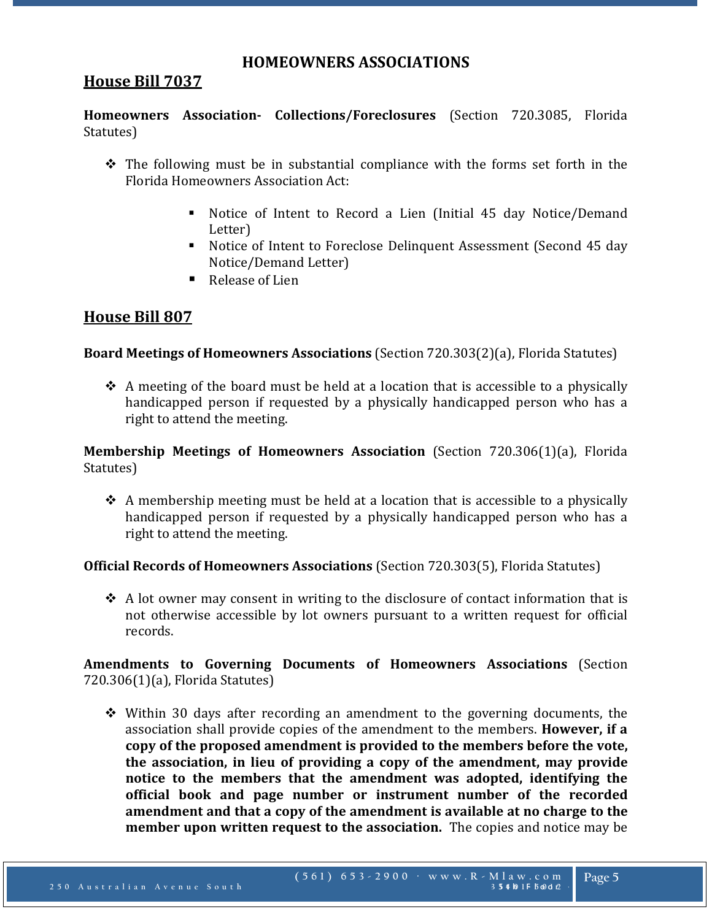## **HOMEOWNERS ASSOCIATIONS**

# **House Bill 7037**

**Homeowners Association- Collections/Foreclosures** (Section 720.3085, Florida Statutes)

- $\hat{\mathbf{v}}$  The following must be in substantial compliance with the forms set forth in the Florida Homeowners Association Act:
	- Notice of Intent to Record a Lien (Initial 45 day Notice/Demand Letter)
	- Notice of Intent to Foreclose Delinquent Assessment (Second 45 day Notice/Demand Letter)
	- Release of Lien

# **House Bill 807**

## **Board Meetings of Homeowners Associations** (Section 720.303(2)(a), Florida Statutes)

 $\triangle$  A meeting of the board must be held at a location that is accessible to a physically handicapped person if requested by a physically handicapped person who has a right to attend the meeting.

**Membership Meetings of Homeowners Association** (Section 720.306(1)(a), Florida Statutes)

 $\triangle$  A membership meeting must be held at a location that is accessible to a physically handicapped person if requested by a physically handicapped person who has a right to attend the meeting.

## **Official Records of Homeowners Associations** (Section 720.303(5), Florida Statutes)

 $\triangle$  A lot owner may consent in writing to the disclosure of contact information that is not otherwise accessible by lot owners pursuant to a written request for official records.

## **Amendments to Governing Documents of Homeowners Associations** (Section 720.306(1)(a), Florida Statutes)

 $\div$  Within 30 days after recording an amendment to the governing documents, the association shall provide copies of the amendment to the members. **However, if a copy of the proposed amendment is provided to the members before the vote, the association, in lieu of providing a copy of the amendment, may provide notice to the members that the amendment was adopted, identifying the official book and page number or instrument number of the recorded amendment and that a copy of the amendment is available at no charge to the member upon written request to the association.** The copies and notice may be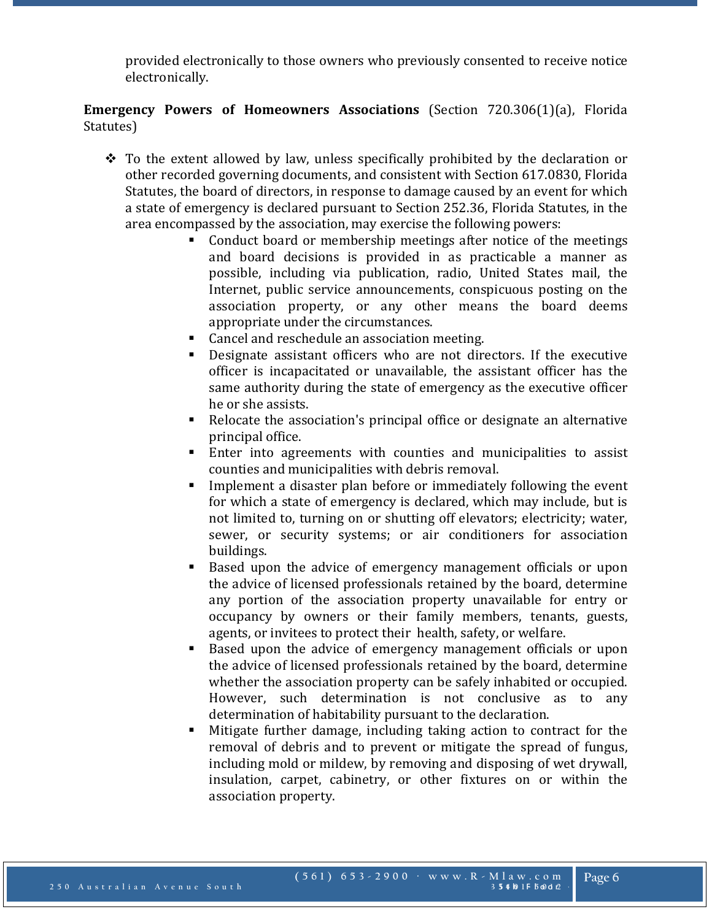provided electronically to those owners who previously consented to receive notice electronically.

## **Emergency Powers of Homeowners Associations** (Section 720.306(1)(a), Florida Statutes)

- $\cdot \cdot$  To the extent allowed by law, unless specifically prohibited by the declaration or other recorded governing documents, and consistent with Section 617.0830, Florida Statutes, the board of directors, in response to damage caused by an event for which a state of emergency is declared pursuant to Section 252.36, Florida Statutes, in the area encompassed by the association, may exercise the following powers:
	- Conduct board or membership meetings after notice of the meetings and board decisions is provided in as practicable a manner as possible, including via publication, radio, United States mail, the Internet, public service announcements, conspicuous posting on the association property, or any other means the board deems appropriate under the circumstances.
	- Cancel and reschedule an association meeting.
	- Designate assistant officers who are not directors. If the executive officer is incapacitated or unavailable, the assistant officer has the same authority during the state of emergency as the executive officer he or she assists.
	- Relocate the association's principal office or designate an alternative principal office.
	- Enter into agreements with counties and municipalities to assist counties and municipalities with debris removal.
	- **Implement a disaster plan before or immediately following the event** for which a state of emergency is declared, which may include, but is not limited to, turning on or shutting off elevators; electricity; water, sewer, or security systems; or air conditioners for association buildings.
	- Based upon the advice of emergency management officials or upon the advice of licensed professionals retained by the board, determine any portion of the association property unavailable for entry or occupancy by owners or their family members, tenants, guests, agents, or invitees to protect their health, safety, or welfare.
	- Based upon the advice of emergency management officials or upon the advice of licensed professionals retained by the board, determine whether the association property can be safely inhabited or occupied. However, such determination is not conclusive as to any determination of habitability pursuant to the declaration.
	- Mitigate further damage, including taking action to contract for the removal of debris and to prevent or mitigate the spread of fungus, including mold or mildew, by removing and disposing of wet drywall, insulation, carpet, cabinetry, or other fixtures on or within the association property.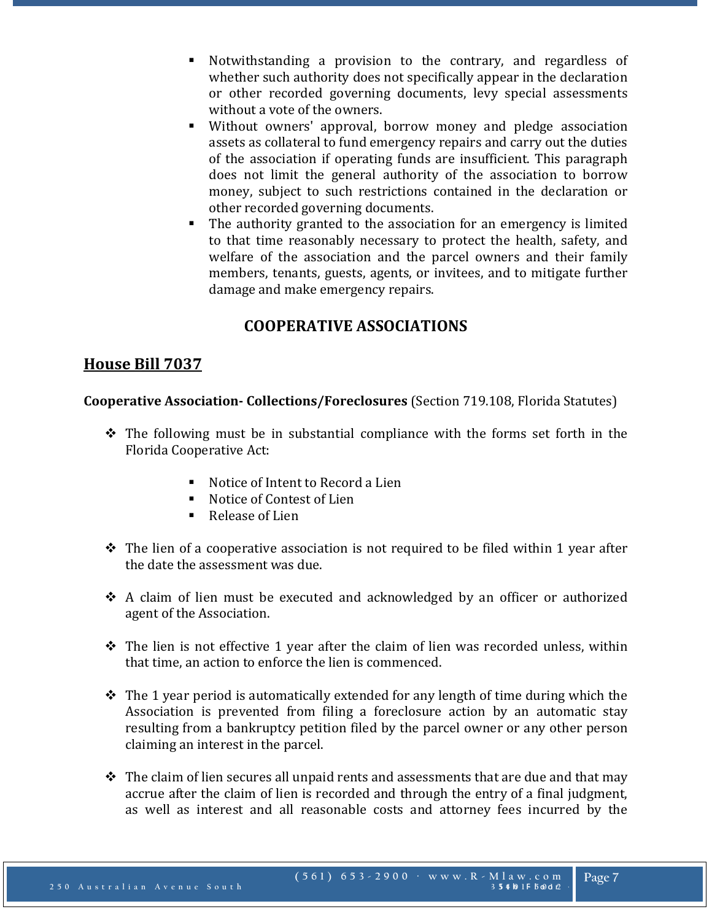- Notwithstanding a provision to the contrary, and regardless of whether such authority does not specifically appear in the declaration or other recorded governing documents, levy special assessments without a vote of the owners.
- Without owners' approval, borrow money and pledge association assets as collateral to fund emergency repairs and carry out the duties of the association if operating funds are insufficient. This paragraph does not limit the general authority of the association to borrow money, subject to such restrictions contained in the declaration or other recorded governing documents.
- The authority granted to the association for an emergency is limited to that time reasonably necessary to protect the health, safety, and welfare of the association and the parcel owners and their family members, tenants, guests, agents, or invitees, and to mitigate further damage and make emergency repairs.

# **COOPERATIVE ASSOCIATIONS**

# **House Bill 7037**

**Cooperative Association- Collections/Foreclosures** (Section 719.108, Florida Statutes)

- $\hat{\mathbf{v}}$  The following must be in substantial compliance with the forms set forth in the Florida Cooperative Act:
	- Notice of Intent to Record a Lien<br>■ Notice of Contest of Lien
	- Notice of Contest of Lien
	- Release of Lien
- $\hat{\mathbf{v}}$  The lien of a cooperative association is not required to be filed within 1 year after the date the assessment was due.
- A claim of lien must be executed and acknowledged by an officer or authorized agent of the Association.
- $\div$  The lien is not effective 1 year after the claim of lien was recorded unless, within that time, an action to enforce the lien is commenced.
- $\div$  The 1 year period is automatically extended for any length of time during which the Association is prevented from filing a foreclosure action by an automatic stay resulting from a bankruptcy petition filed by the parcel owner or any other person claiming an interest in the parcel.
- $\cdot \cdot$  The claim of lien secures all unpaid rents and assessments that are due and that may accrue after the claim of lien is recorded and through the entry of a final judgment, as well as interest and all reasonable costs and attorney fees incurred by the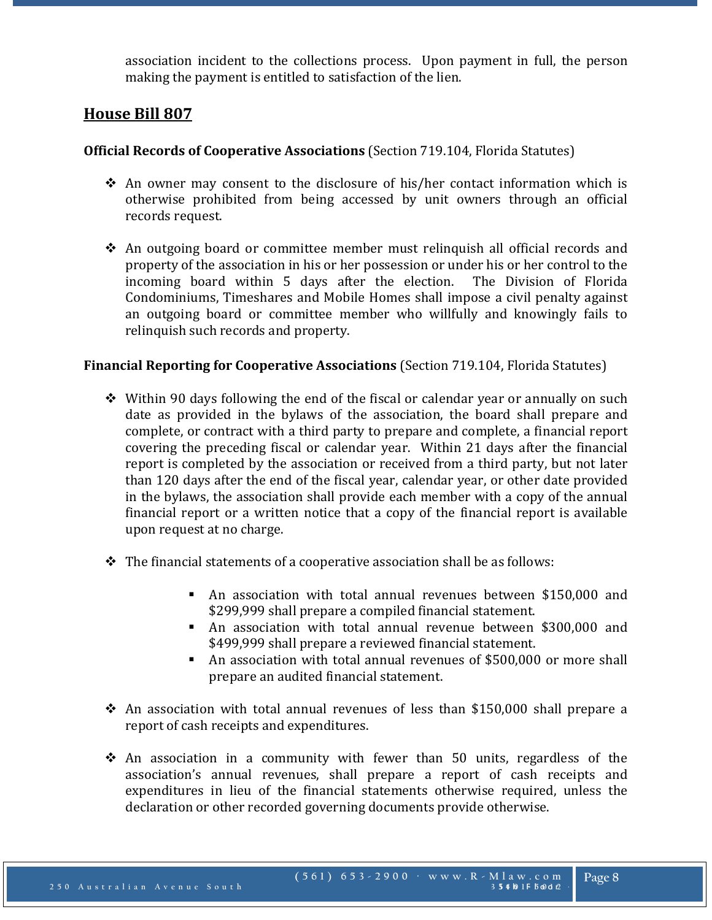association incident to the collections process. Upon payment in full, the person making the payment is entitled to satisfaction of the lien.

# **House Bill 807**

## **Official Records of Cooperative Associations** (Section 719.104, Florida Statutes)

- $\triangle$  An owner may consent to the disclosure of his/her contact information which is otherwise prohibited from being accessed by unit owners through an official records request.
- An outgoing board or committee member must relinquish all official records and property of the association in his or her possession or under his or her control to the incoming board within 5 days after the election. The Division of Florida Condominiums, Timeshares and Mobile Homes shall impose a civil penalty against an outgoing board or committee member who willfully and knowingly fails to relinquish such records and property.

## **Financial Reporting for Cooperative Associations** (Section 719.104, Florida Statutes)

- $\div$  Within 90 days following the end of the fiscal or calendar year or annually on such date as provided in the bylaws of the association, the board shall prepare and complete, or contract with a third party to prepare and complete, a financial report covering the preceding fiscal or calendar year. Within 21 days after the financial report is completed by the association or received from a third party, but not later than 120 days after the end of the fiscal year, calendar year, or other date provided in the bylaws, the association shall provide each member with a copy of the annual financial report or a written notice that a copy of the financial report is available upon request at no charge.
- $\cdot \cdot$  The financial statements of a cooperative association shall be as follows:
	- An association with total annual revenues between \$150,000 and \$299,999 shall prepare a compiled financial statement.
	- An association with total annual revenue between \$300,000 and \$499,999 shall prepare a reviewed financial statement.
	- An association with total annual revenues of \$500,000 or more shall prepare an audited financial statement.
- $\cdot$  An association with total annual revenues of less than \$150,000 shall prepare a report of cash receipts and expenditures.
- $\hat{\mathbf{v}}$  An association in a community with fewer than 50 units, regardless of the association's annual revenues, shall prepare a report of cash receipts and expenditures in lieu of the financial statements otherwise required, unless the declaration or other recorded governing documents provide otherwise.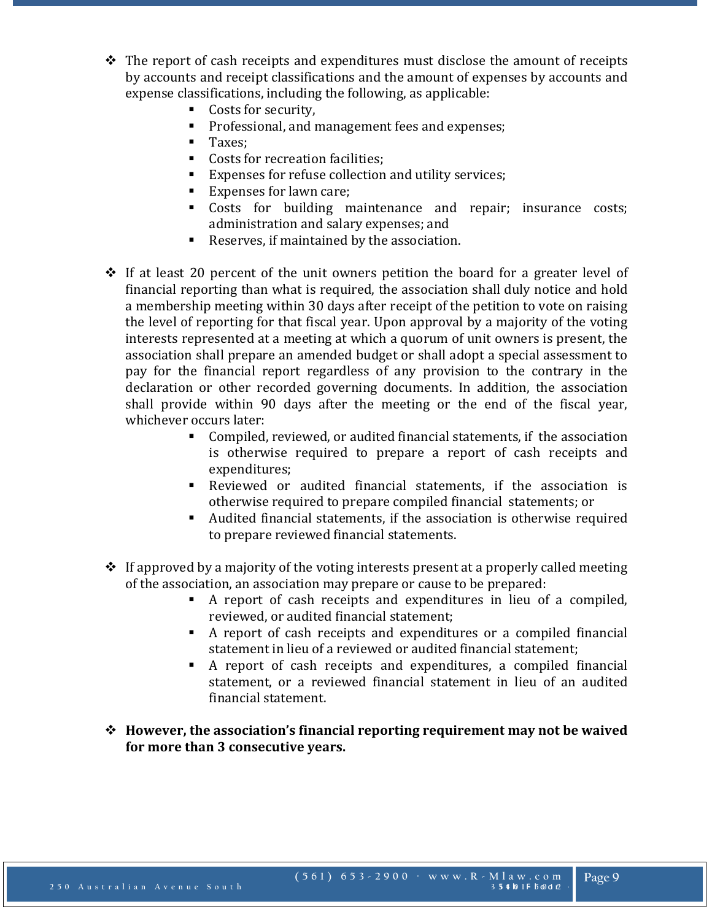- $\triangle$  The report of cash receipts and expenditures must disclose the amount of receipts by accounts and receipt classifications and the amount of expenses by accounts and expense classifications, including the following, as applicable:
	- Costs for security,<br>Professional and r
	- Professional, and management fees and expenses;<br>Taxes:
	- Taxes;
	- Costs for recreation facilities;<br>■ Expenses for refuse collection
	- Expenses for refuse collection and utility services;<br>■ Expenses for lawn care:
	- Expenses for lawn care;
	- Costs for building maintenance and repair; insurance costs; administration and salary expenses; and
	- Reserves, if maintained by the association.
- $\cdot$  If at least 20 percent of the unit owners petition the board for a greater level of financial reporting than what is required, the association shall duly notice and hold a membership meeting within 30 days after receipt of the petition to vote on raising the level of reporting for that fiscal year. Upon approval by a majority of the voting interests represented at a meeting at which a quorum of unit owners is present, the association shall prepare an amended budget or shall adopt a special assessment to pay for the financial report regardless of any provision to the contrary in the declaration or other recorded governing documents. In addition, the association shall provide within 90 days after the meeting or the end of the fiscal year, whichever occurs later:
	- Compiled, reviewed, or audited financial statements, if the association is otherwise required to prepare a report of cash receipts and expenditures;
	- Reviewed or audited financial statements, if the association is otherwise required to prepare compiled financial statements; or
	- Audited financial statements, if the association is otherwise required to prepare reviewed financial statements.
- $\cdot$  If approved by a majority of the voting interests present at a properly called meeting of the association, an association may prepare or cause to be prepared:
	- A report of cash receipts and expenditures in lieu of a compiled, reviewed, or audited financial statement;
	- A report of cash receipts and expenditures or a compiled financial statement in lieu of a reviewed or audited financial statement;
	- A report of cash receipts and expenditures, a compiled financial statement, or a reviewed financial statement in lieu of an audited financial statement.
- **However, the association's financial reporting requirement may not be waived for more than 3 consecutive years.**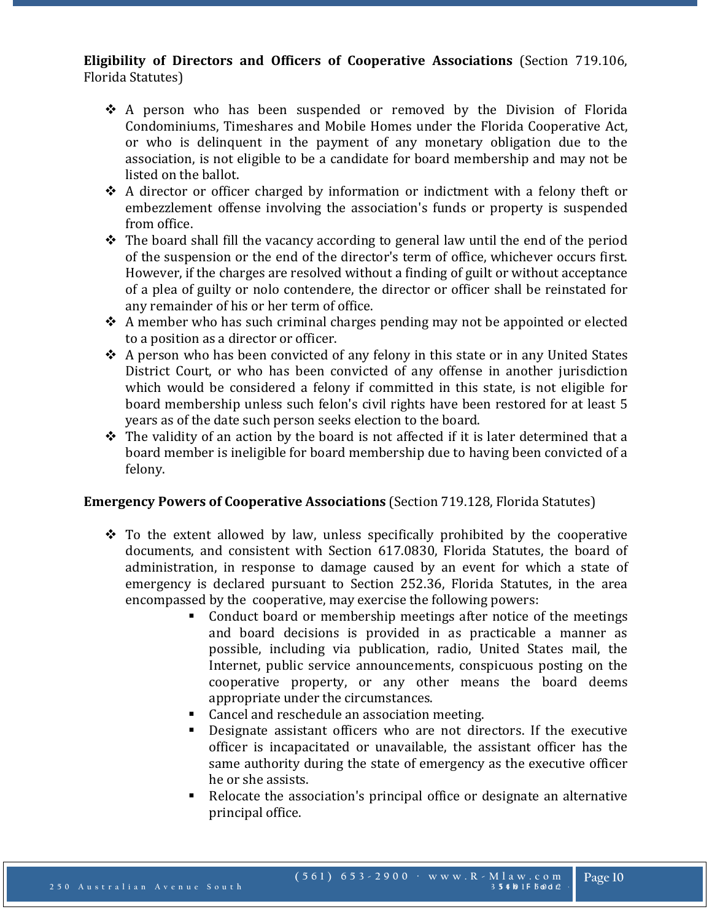## **Eligibility of Directors and Officers of Cooperative Associations** (Section 719.106, Florida Statutes)

- - \* A person who has been suspended or removed by the Division of Florida Condominiums, Timeshares and Mobile Homes under the Florida Cooperative Act, or who is delinquent in the payment of any monetary obligation due to the association, is not eligible to be a candidate for board membership and may not be listed on the ballot.
	- A director or officer charged by information or indictment with a felony theft or embezzlement offense involving the association's funds or property is suspended from office.
	- $\triangle$  The board shall fill the vacancy according to general law until the end of the period of the suspension or the end of the director's term of office, whichever occurs first. However, if the charges are resolved without a finding of guilt or without acceptance of a plea of guilty or nolo contendere, the director or officer shall be reinstated for any remainder of his or her term of office.
	- $\triangle$  A member who has such criminal charges pending may not be appointed or elected to a position as a director or officer.
	- A person who has been convicted of any felony in this state or in any United States District Court, or who has been convicted of any offense in another jurisdiction which would be considered a felony if committed in this state, is not eligible for board membership unless such felon's civil rights have been restored for at least 5 years as of the date such person seeks election to the board.
	- $\triangle$  The validity of an action by the board is not affected if it is later determined that a board member is ineligible for board membership due to having been convicted of a felony.

# **Emergency Powers of Cooperative Associations** (Section 719.128, Florida Statutes)

- $\div$  To the extent allowed by law, unless specifically prohibited by the cooperative documents, and consistent with Section 617.0830, Florida Statutes, the board of administration, in response to damage caused by an event for which a state of emergency is declared pursuant to Section 252.36, Florida Statutes, in the area encompassed by the cooperative, may exercise the following powers:
	- Conduct board or membership meetings after notice of the meetings and board decisions is provided in as practicable a manner as possible, including via publication, radio, United States mail, the Internet, public service announcements, conspicuous posting on the cooperative property, or any other means the board deems appropriate under the circumstances.
	- Cancel and reschedule an association meeting.
	- Designate assistant officers who are not directors. If the executive officer is incapacitated or unavailable, the assistant officer has the same authority during the state of emergency as the executive officer he or she assists.
	- Relocate the association's principal office or designate an alternative principal office.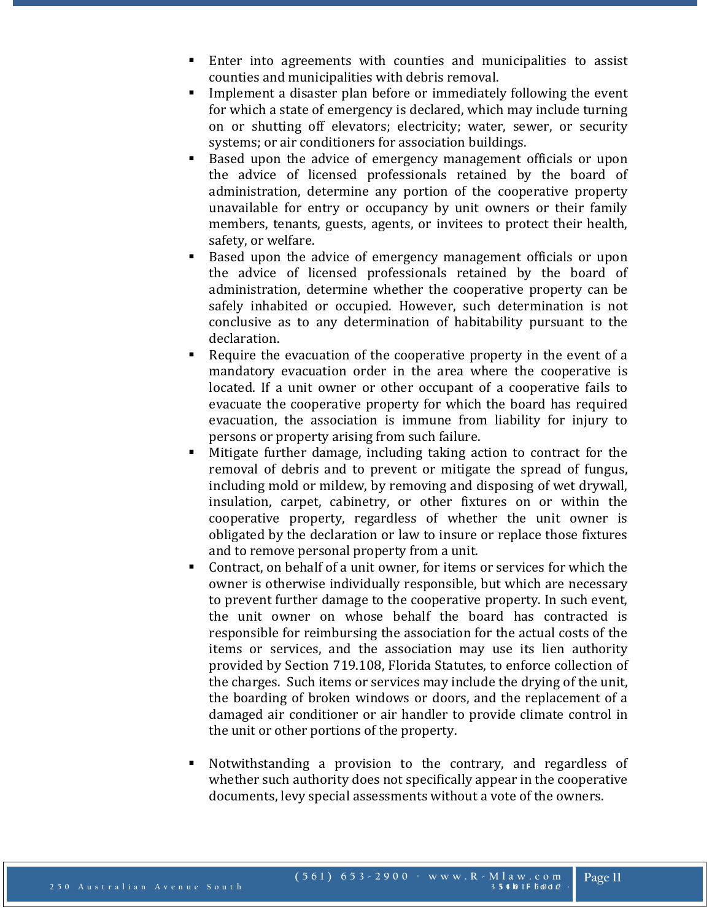- Enter into agreements with counties and municipalities to assist counties and municipalities with debris removal.
- Implement a disaster plan before or immediately following the event for which a state of emergency is declared, which may include turning on or shutting off elevators; electricity; water, sewer, or security systems; or air conditioners for association buildings.
- Based upon the advice of emergency management officials or upon the advice of licensed professionals retained by the board of administration, determine any portion of the cooperative property unavailable for entry or occupancy by unit owners or their family members, tenants, guests, agents, or invitees to protect their health, safety, or welfare.
- Based upon the advice of emergency management officials or upon the advice of licensed professionals retained by the board of administration, determine whether the cooperative property can be safely inhabited or occupied. However, such determination is not conclusive as to any determination of habitability pursuant to the declaration.
- Require the evacuation of the cooperative property in the event of a mandatory evacuation order in the area where the cooperative is located. If a unit owner or other occupant of a cooperative fails to evacuate the cooperative property for which the board has required evacuation, the association is immune from liability for injury to persons or property arising from such failure.
- Mitigate further damage, including taking action to contract for the removal of debris and to prevent or mitigate the spread of fungus, including mold or mildew, by removing and disposing of wet drywall, insulation, carpet, cabinetry, or other fixtures on or within the cooperative property, regardless of whether the unit owner is obligated by the declaration or law to insure or replace those fixtures and to remove personal property from a unit.
- Contract, on behalf of a unit owner, for items or services for which the owner is otherwise individually responsible, but which are necessary to prevent further damage to the cooperative property. In such event, the unit owner on whose behalf the board has contracted is responsible for reimbursing the association for the actual costs of the items or services, and the association may use its lien authority provided by Section 719.108, Florida Statutes, to enforce collection of the charges. Such items or services may include the drying of the unit, the boarding of broken windows or doors, and the replacement of a damaged air conditioner or air handler to provide climate control in the unit or other portions of the property.
- Notwithstanding a provision to the contrary, and regardless of whether such authority does not specifically appear in the cooperative documents, levy special assessments without a vote of the owners.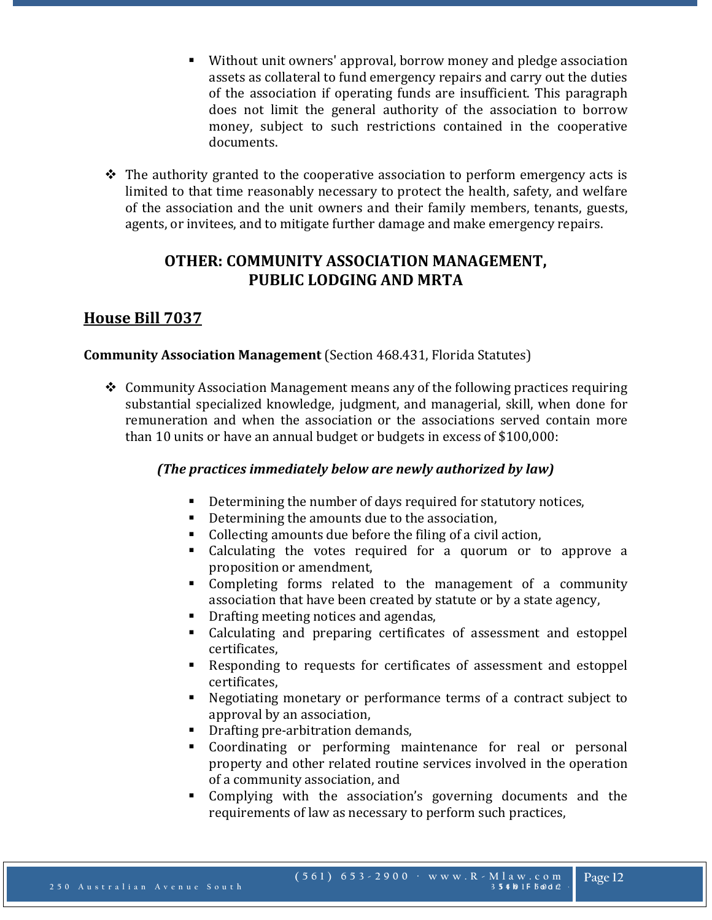- Without unit owners' approval, borrow money and pledge association assets as collateral to fund emergency repairs and carry out the duties of the association if operating funds are insufficient. This paragraph does not limit the general authority of the association to borrow money, subject to such restrictions contained in the cooperative documents.
- $\div$  The authority granted to the cooperative association to perform emergency acts is limited to that time reasonably necessary to protect the health, safety, and welfare of the association and the unit owners and their family members, tenants, guests, agents, or invitees, and to mitigate further damage and make emergency repairs.

# **OTHER: COMMUNITY ASSOCIATION MANAGEMENT, PUBLIC LODGING AND MRTA**

# **House Bill 7037**

## **Community Association Management** (Section 468.431, Florida Statutes)

 Community Association Management means any of the following practices requiring substantial specialized knowledge, judgment, and managerial, skill, when done for remuneration and when the association or the associations served contain more than 10 units or have an annual budget or budgets in excess of \$100,000:

## *(The practices immediately below are newly authorized by law)*

- Determining the number of days required for statutory notices,
- Determining the amounts due to the association,<br>Collecting amounts due before the filing of a civil
- Collecting amounts due before the filing of a civil action,
- Calculating the votes required for a quorum or to approve a proposition or amendment,
- Completing forms related to the management of a community association that have been created by statute or by a state agency,
- Drafting meeting notices and agendas,<br>• Calculating and preparing certificate
- Calculating and preparing certificates of assessment and estoppel certificates,
- Responding to requests for certificates of assessment and estoppel certificates,
- Negotiating monetary or performance terms of a contract subject to approval by an association,
- **•** Drafting pre-arbitration demands,
- Coordinating or performing maintenance for real or personal property and other related routine services involved in the operation of a community association, and
- Complying with the association's governing documents and the requirements of law as necessary to perform such practices,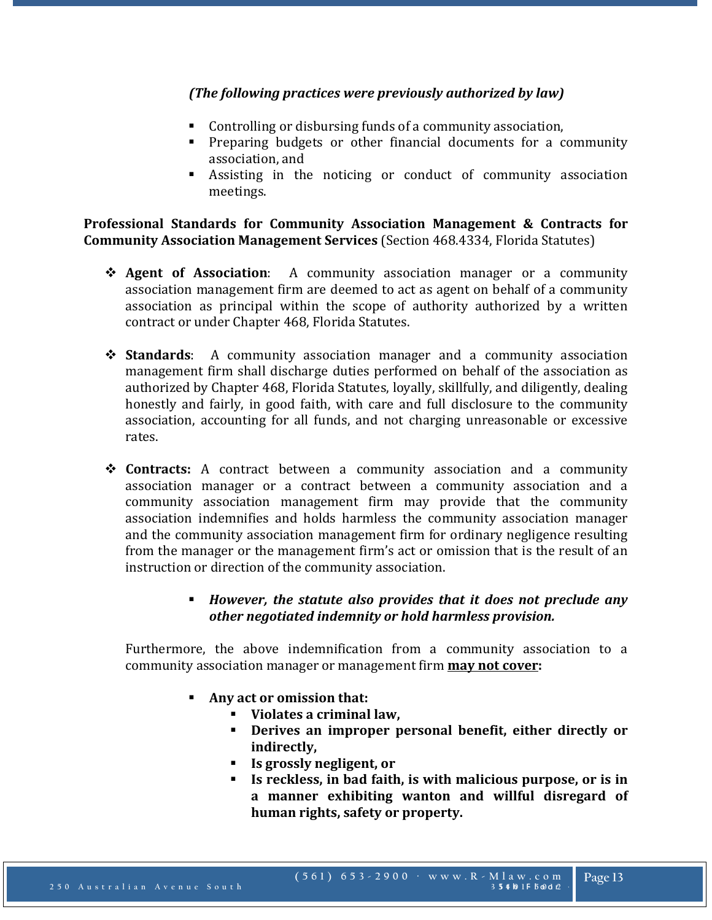## *(The following practices were previously authorized by law)*

- Controlling or disbursing funds of a community association,
- Preparing budgets or other financial documents for a community association, and
- Assisting in the noticing or conduct of community association meetings.

**Professional Standards for Community Association Management & Contracts for Community Association Management Services** (Section 468.4334, Florida Statutes)

- **Agent of Association**: A community association manager or a community association management firm are deemed to act as agent on behalf of a community association as principal within the scope of authority authorized by a written contract or under Chapter 468, Florida Statutes.
- **Standards**: A community association manager and a community association management firm shall discharge duties performed on behalf of the association as authorized by Chapter 468, Florida Statutes, loyally, skillfully, and diligently, dealing honestly and fairly, in good faith, with care and full disclosure to the community association, accounting for all funds, and not charging unreasonable or excessive rates.
- **Contracts:** A contract between a community association and a community association manager or a contract between a community association and a community association management firm may provide that the community association indemnifies and holds harmless the community association manager and the community association management firm for ordinary negligence resulting from the manager or the management firm's act or omission that is the result of an instruction or direction of the community association.
	- *However, the statute also provides that it does not preclude any other negotiated indemnity or hold harmless provision.*

Furthermore, the above indemnification from a community association to a community association manager or management firm **may not cover:**

- **Any act or omission that:**
	- **Violates a criminal law,**
	- **Derives an improper personal benefit, either directly or indirectly,**
	- **Is grossly negligent, or**
	- **Is reckless, in bad faith, is with malicious purpose, or is in a manner exhibiting wanton and willful disregard of human rights, safety or property.**